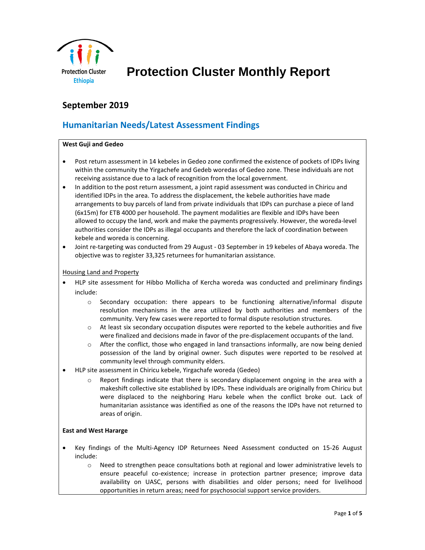

 **Protection Cluster Monthly Report**

# **September 2019**

# **Humanitarian Needs/Latest Assessment Findings**

#### **West Guji and Gedeo**

- Post return assessment in 14 kebeles in Gedeo zone confirmed the existence of pockets of IDPs living within the community the Yirgachefe and Gedeb woredas of Gedeo zone. These individuals are not receiving assistance due to a lack of recognition from the local government.
- In addition to the post return assessment, a joint rapid assessment was conducted in Chiricu and identified IDPs in the area. To address the displacement, the kebele authorities have made arrangements to buy parcels of land from private individuals that IDPs can purchase a piece of land (6x15m) for ETB 4000 per household. The payment modalities are flexible and IDPs have been allowed to occupy the land, work and make the payments progressively. However, the woreda-level authorities consider the IDPs as illegal occupants and therefore the lack of coordination between kebele and woreda is concerning.
- Joint re-targeting was conducted from 29 August 03 September in 19 kebeles of Abaya woreda. The objective was to register 33,325 returnees for humanitarian assistance.

#### Housing Land and Property

- HLP site assessment for Hibbo Mollicha of Kercha woreda was conducted and preliminary findings include:
	- o Secondary occupation: there appears to be functioning alternative/informal dispute resolution mechanisms in the area utilized by both authorities and members of the community. Very few cases were reported to formal dispute resolution structures.
	- $\circ$  At least six secondary occupation disputes were reported to the kebele authorities and five were finalized and decisions made in favor of the pre-displacement occupants of the land.
	- $\circ$  After the conflict, those who engaged in land transactions informally, are now being denied possession of the land by original owner. Such disputes were reported to be resolved at community level through community elders.
- HLP site assessment in Chiricu kebele, Yirgachafe woreda (Gedeo)
	- o Report findings indicate that there is secondary displacement ongoing in the area with a makeshift collective site established by IDPs. These individuals are originally from Chiricu but were displaced to the neighboring Haru kebele when the conflict broke out. Lack of humanitarian assistance was identified as one of the reasons the IDPs have not returned to areas of origin.

## **East and West Hararge**

- Key findings of the Multi-Agency IDP Returnees Need Assessment conducted on 15-26 August include:
	- o Need to strengthen peace consultations both at regional and lower administrative levels to ensure peaceful co-existence; increase in protection partner presence; improve data availability on UASC, persons with disabilities and older persons; need for livelihood opportunities in return areas; need for psychosocial support service providers.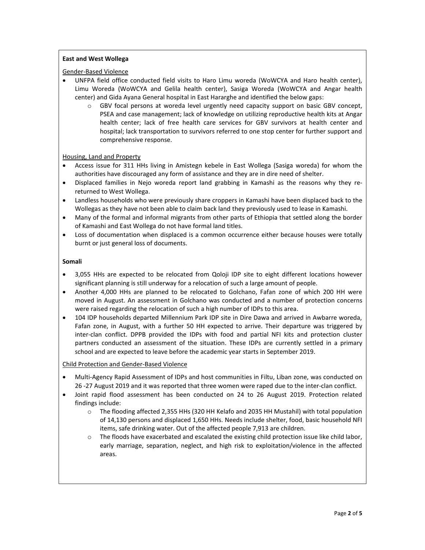## **East and West Wollega**

#### Gender-Based Violence

- UNFPA field office conducted field visits to Haro Limu woreda (WoWCYA and Haro health center), Limu Woreda (WoWCYA and Gelila health center), Sasiga Woreda (WoWCYA and Angar health center) and Gida Ayana General hospital in East Hararghe and identified the below gaps:
	- o GBV focal persons at woreda level urgently need capacity support on basic GBV concept, PSEA and case management; lack of knowledge on utilizing reproductive health kits at Angar health center; lack of free health care services for GBV survivors at health center and hospital; lack transportation to survivors referred to one stop center for further support and comprehensive response.

#### Housing, Land and Property

- Access issue for 311 HHs living in Amistegn kebele in East Wollega (Sasiga woreda) for whom the authorities have discouraged any form of assistance and they are in dire need of shelter.
- Displaced families in Nejo woreda report land grabbing in Kamashi as the reasons why they rereturned to West Wollega.
- Landless households who were previously share croppers in Kamashi have been displaced back to the Wollegas as they have not been able to claim back land they previously used to lease in Kamashi.
- Many of the formal and informal migrants from other parts of Ethiopia that settled along the border of Kamashi and East Wollega do not have formal land titles.
- Loss of documentation when displaced is a common occurrence either because houses were totally burnt or just general loss of documents.

#### **Somali**

- 3,055 HHs are expected to be relocated from Qoloji IDP site to eight different locations however significant planning is still underway for a relocation of such a large amount of people.
- Another 4,000 HHs are planned to be relocated to Golchano, Fafan zone of which 200 HH were moved in August. An assessment in Golchano was conducted and a number of protection concerns were raised regarding the relocation of such a high number of IDPs to this area.
- 104 IDP households departed Millennium Park IDP site in Dire Dawa and arrived in Awbarre woreda, Fafan zone, in August, with a further 50 HH expected to arrive. Their departure was triggered by inter-clan conflict. DPPB provided the IDPs with food and partial NFI kits and protection cluster partners conducted an assessment of the situation. These IDPs are currently settled in a primary school and are expected to leave before the academic year starts in September 2019.

## Child Protection and Gender-Based Violence

- Multi-Agency Rapid Assessment of IDPs and host communities in Filtu, Liban zone, was conducted on 26 -27 August 2019 and it was reported that three women were raped due to the inter-clan conflict.
- Joint rapid flood assessment has been conducted on 24 to 26 August 2019. Protection related findings include:
	- o The flooding affected 2,355 HHs (320 HH Kelafo and 2035 HH Mustahil) with total population of 14,130 persons and displaced 1,650 HHs. Needs include shelter, food, basic household NFI items, safe drinking water. Out of the affected people 7,913 are children.
	- o The floods have exacerbated and escalated the existing child protection issue like child labor, early marriage, separation, neglect, and high risk to exploitation/violence in the affected areas.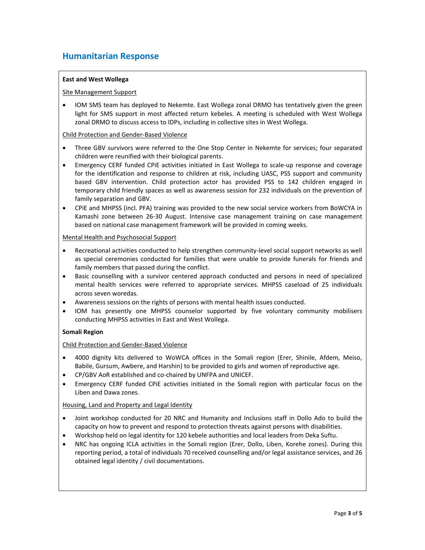## **Humanitarian Response**

## **East and West Wollega**

#### Site Management Support

• IOM SMS team has deployed to Nekemte. East Wollega zonal DRMO has tentatively given the green light for SMS support in most affected return kebeles. A meeting is scheduled with West Wollega zonal DRMO to discuss access to IDPs, including in collective sites in West Wollega.

#### Child Protection and Gender-Based Violence

- Three GBV survivors were referred to the One Stop Center in Nekemte for services; four separated children were reunified with their biological parents.
- Emergency CERF funded CPiE activities initiated in East Wollega to scale-up response and coverage for the identification and response to children at risk, including UASC, PSS support and community based GBV intervention. Child protection actor has provided PSS to 142 children engaged in temporary child friendly spaces as well as awareness session for 232 individuals on the prevention of family separation and GBV.
- CPiE and MHPSS (incl. PFA) training was provided to the new social service workers from BoWCYA in Kamashi zone between 26-30 August. Intensive case management training on case management based on national case management framework will be provided in coming weeks.

#### Mental Health and Psychosocial Support

- Recreational activities conducted to help strengthen community-level social support networks as well as special ceremonies conducted for families that were unable to provide funerals for friends and family members that passed during the conflict.
- Basic counselling with a survivor centered approach conducted and persons in need of specialized mental health services were referred to appropriate services. MHPSS caseload of 25 individuals across seven woredas.
- Awareness sessions on the rights of persons with mental health issues conducted.
- IOM has presently one MHPSS counselor supported by five voluntary community mobilisers conducting MHPSS activities in East and West Wollega.

## **Somali Region**

## Child Protection and Gender-Based Violence

- 4000 dignity kits delivered to WoWCA offices in the Somali region (Erer, Shinile, Afdem, Meiso, Babile, Gursum, Awbere, and Harshin) to be provided to girls and women of reproductive age.
- CP/GBV AoR established and co-chaired by UNFPA and UNICEF.
- Emergency CERF funded CPiE activities initiated in the Somali region with particular focus on the Liben and Dawa zones.

## Housing, Land and Property and Legal Identity

- Joint workshop conducted for 20 NRC and Humanity and Inclusions staff in Dollo Ado to build the capacity on how to prevent and respond to protection threats against persons with disabilities.
- Workshop held on legal identity for 120 kebele authorities and local leaders from Deka Suftu.
- NRC has ongoing ICLA activities in the Somali region (Erer, Dollo, Liben, Korehe zones). During this reporting period, a total of individuals 70 received counselling and/or legal assistance services, and 26 obtained legal identity / civil documentations.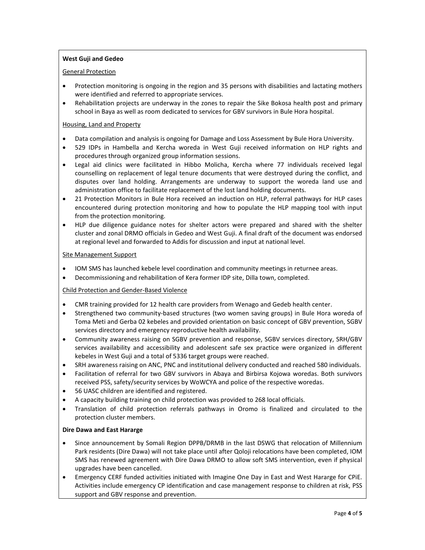## **West Guji and Gedeo**

#### General Protection

- Protection monitoring is ongoing in the region and 35 persons with disabilities and lactating mothers were identified and referred to appropriate services.
- Rehabilitation projects are underway in the zones to repair the Sike Bokosa health post and primary school in Baya as well as room dedicated to services for GBV survivors in Bule Hora hospital.

#### Housing, Land and Property

- Data compilation and analysis is ongoing for Damage and Loss Assessment by Bule Hora University.
- 529 IDPs in Hambella and Kercha woreda in West Guji received information on HLP rights and procedures through organized group information sessions.
- Legal aid clinics were facilitated in Hibbo Molicha, Kercha where 77 individuals received legal counselling on replacement of legal tenure documents that were destroyed during the conflict, and disputes over land holding. Arrangements are underway to support the woreda land use and administration office to facilitate replacement of the lost land holding documents.
- 21 Protection Monitors in Bule Hora received an induction on HLP, referral pathways for HLP cases encountered during protection monitoring and how to populate the HLP mapping tool with input from the protection monitoring.
- HLP due diligence guidance notes for shelter actors were prepared and shared with the shelter cluster and zonal DRMO officials in Gedeo and West Guji. A final draft of the document was endorsed at regional level and forwarded to Addis for discussion and input at national level.

#### Site Management Support

- IOM SMS has launched kebele level coordination and community meetings in returnee areas.
- Decommissioning and rehabilitation of Kera former IDP site, Dilla town, completed.

## Child Protection and Gender-Based Violence

- CMR training provided for 12 health care providers from Wenago and Gedeb health center.
- Strengthened two community-based structures (two women saving groups) in Bule Hora woreda of Toma Meti and Gerba 02 kebeles and provided orientation on basic concept of GBV prevention, SGBV services directory and emergency reproductive health availability.
- Community awareness raising on SGBV prevention and response, SGBV services directory, SRH/GBV services availability and accessibility and adolescent safe sex practice were organized in different kebeles in West Guji and a total of 5336 target groups were reached.
- SRH awareness raising on ANC, PNC and institutional delivery conducted and reached 580 individuals.
- Facilitation of referral for two GBV survivors in Abaya and Birbirsa Kojowa woredas. Both survivors received PSS, safety/security services by WoWCYA and police of the respective woredas.
- 56 UASC children are identified and registered.
- A capacity building training on child protection was provided to 268 local officials.
- Translation of child protection referrals pathways in Oromo is finalized and circulated to the protection cluster members.

## **Dire Dawa and East Hararge**

- Since announcement by Somali Region DPPB/DRMB in the last DSWG that relocation of Millennium Park residents (Dire Dawa) will not take place until after Qoloji relocations have been completed, IOM SMS has renewed agreement with Dire Dawa DRMO to allow soft SMS intervention, even if physical upgrades have been cancelled.
- Emergency CERF funded activities initiated with Imagine One Day in East and West Hararge for CPiE. Activities include emergency CP identification and case management response to children at risk, PSS support and GBV response and prevention.